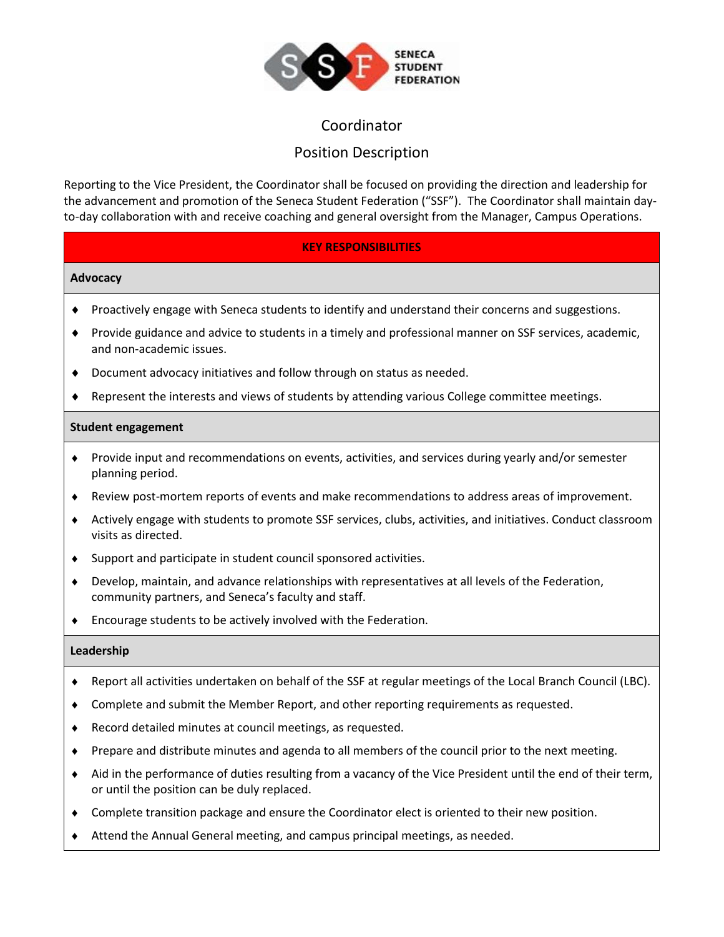

# Coordinator

# Position Description

Reporting to the Vice President, the Coordinator shall be focused on providing the direction and leadership for the advancement and promotion of the Seneca Student Federation ("SSF"). The Coordinator shall maintain dayto-day collaboration with and receive coaching and general oversight from the Manager, Campus Operations.

## **KEY RESPONSIBILITIES**

#### **Advocacy**

- Proactively engage with Seneca students to identify and understand their concerns and suggestions.
- Provide guidance and advice to students in a timely and professional manner on SSF services, academic, and non-academic issues.
- Document advocacy initiatives and follow through on status as needed.
- Represent the interests and views of students by attending various College committee meetings.

#### **Student engagement**

- Provide input and recommendations on events, activities, and services during yearly and/or semester planning period.
- Review post-mortem reports of events and make recommendations to address areas of improvement.
- Actively engage with students to promote SSF services, clubs, activities, and initiatives. Conduct classroom visits as directed.
- Support and participate in student council sponsored activities.
- Develop, maintain, and advance relationships with representatives at all levels of the Federation, community partners, and Seneca's faculty and staff.
- Encourage students to be actively involved with the Federation.

#### **Leadership**

- Report all activities undertaken on behalf of the SSF at regular meetings of the Local Branch Council (LBC).
- Complete and submit the Member Report, and other reporting requirements as requested.
- Record detailed minutes at council meetings, as requested.
- Prepare and distribute minutes and agenda to all members of the council prior to the next meeting.
- Aid in the performance of duties resulting from a vacancy of the Vice President until the end of their term, or until the position can be duly replaced.
- Complete transition package and ensure the Coordinator elect is oriented to their new position.
- Attend the Annual General meeting, and campus principal meetings, as needed.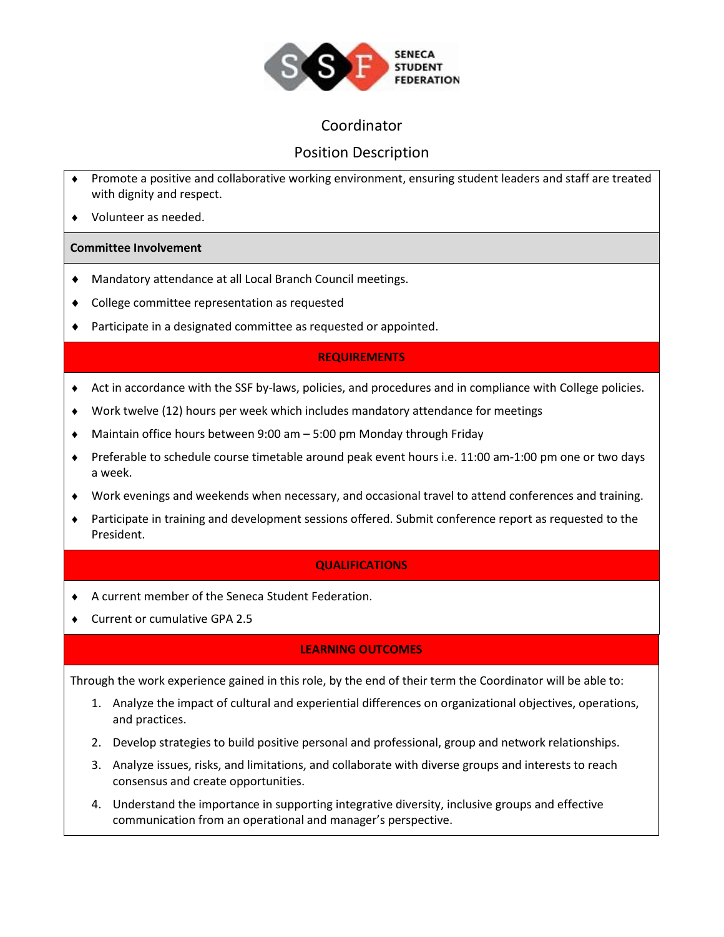

# Coordinator

# Position Description

- Promote a positive and collaborative working environment, ensuring student leaders and staff are treated with dignity and respect.
- Volunteer as needed.

#### **Committee Involvement**

- Mandatory attendance at all Local Branch Council meetings.
- College committee representation as requested
- Participate in a designated committee as requested or appointed.

## **REQUIREMENTS**

- Act in accordance with the SSF by-laws, policies, and procedures and in compliance with College policies.
- Work twelve (12) hours per week which includes mandatory attendance for meetings
- Maintain office hours between 9:00 am 5:00 pm Monday through Friday
- Preferable to schedule course timetable around peak event hours i.e. 11:00 am-1:00 pm one or two days a week.
- Work evenings and weekends when necessary, and occasional travel to attend conferences and training.
- Participate in training and development sessions offered. Submit conference report as requested to the President.

## **QUALIFICATIONS**

- A current member of the Seneca Student Federation.
- ◆ Current or cumulative GPA 2.5

## **LEARNING OUTCOMES**

Through the work experience gained in this role, by the end of their term the Coordinator will be able to:

- 1. Analyze the impact of cultural and experiential differences on organizational objectives, operations, and practices.
- 2. Develop strategies to build positive personal and professional, group and network relationships.
- 3. Analyze issues, risks, and limitations, and collaborate with diverse groups and interests to reach consensus and create opportunities.
- 4. Understand the importance in supporting integrative diversity, inclusive groups and effective communication from an operational and manager's perspective.